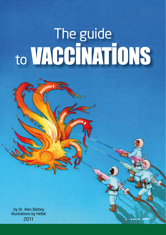# The guide to VACCINATIONS

Typho<sub>id</sub>

Wepatitis

B

 $\blacksquare$ 

**Sepatitis A** 

eta<sub>nus</sub>

by Dr. Alex Barbey illustrations by Helbé 2011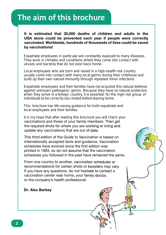## The aim of this brochure

**It is estimated that 30,000 deaths of children and adults in the USA alone could be prevented each year if people were correctly vaccinated. Worldwide, hundreds of thousands of lives could be saved by vaccinations!**

Expatriate employees in particular are constantly exposed to many diseases. They work in climates and conditions where they come into contact with viruses and bacteria that do not exist back home.

Local employees who are born and raised in a high-health-risk country usually come into contact with many local germs during their childhood and build up their own natural immunity through repeated minor infections.

Expatriate employees and their families have not acquired this natural defense against unknown pathogenic germs. Because they have no natural protection when they arrive in a foreign country, it is essential for this high-risk group of individuals to be correctly vaccinated before leaving home.

This brochure has life-saving guidance for both expatriate and This brochure has me-saving guidance for both expatriate and<br>local employees and their families.

vaccinations and those of your family members. Then get the required shots for where you are working or living and update any vaccinations that are out of date. It is my hope that after reading this brochure you will check your

This third edition of the Guide to Vaccination is based on internationally accepted facts and guidance. Vaccination schedules have evolved since the first edition was printed in 1993, so do not assume that the vaccination schedules you followed in the past have remained the same.

From one country to another, vaccination schedules or recommendations for certain shots or boosters may vary. If you have any questions, do not hesitate to contact a vaccination center near home, your family doctor, or the company's health professional.

**Dr. Alex Barbey**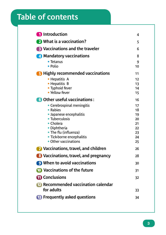### 2 Table of contents

| <b>n</b> Introduction                                                                                                                                                                                                                                                                                                                                                                    | 4                                                  |
|------------------------------------------------------------------------------------------------------------------------------------------------------------------------------------------------------------------------------------------------------------------------------------------------------------------------------------------------------------------------------------------|----------------------------------------------------|
| 2 What is a vaccination?                                                                                                                                                                                                                                                                                                                                                                 | 5                                                  |
| <b>B</b> Vaccinations and the traveler<br>4 Mandatory vaccinations<br>$\bullet$ Tetanus<br>• Polio<br><b>B</b> Highly recommended vaccinations<br>• Hepatitis A<br>• Hepatitis B<br>• Typhoid fever<br>· Yellow fever<br><b>6</b> Other useful vaccinations:<br>• Cerebrospinal meningitis<br>$\bullet$ Rabies<br>· Japanese encephalitis<br>• Tuberculosis<br>• Cholera<br>• Diphtheria |                                                    |
|                                                                                                                                                                                                                                                                                                                                                                                          | 8                                                  |
|                                                                                                                                                                                                                                                                                                                                                                                          | 9<br>10                                            |
|                                                                                                                                                                                                                                                                                                                                                                                          | 11                                                 |
|                                                                                                                                                                                                                                                                                                                                                                                          | 12<br>13<br>14<br>15                               |
|                                                                                                                                                                                                                                                                                                                                                                                          | 16                                                 |
| • The flu (influenza)<br>• Tick-borne encephalitis<br>$\bullet$ Other vaccinations                                                                                                                                                                                                                                                                                                       | 17<br>18<br>19<br>20<br>21<br>22<br>23<br>24<br>25 |
| <b>T</b> Vaccinations, travel, and children                                                                                                                                                                                                                                                                                                                                              | 26                                                 |
| 8 Vaccinations, travel, and pregnancy                                                                                                                                                                                                                                                                                                                                                    | 28                                                 |
| <b>9</b> When to avoid vaccinations                                                                                                                                                                                                                                                                                                                                                      | 30                                                 |
| <b>10</b> Vaccinations of the future                                                                                                                                                                                                                                                                                                                                                     | 31                                                 |
| <b><i><u>m</u></i></b> Conclusions                                                                                                                                                                                                                                                                                                                                                       | 32                                                 |
| <b>12</b> Recommended vaccination calendar<br>for adults                                                                                                                                                                                                                                                                                                                                 | 33                                                 |
| <b>B</b> Frequently asked questions                                                                                                                                                                                                                                                                                                                                                      | 34                                                 |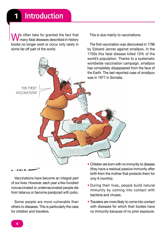Me often take for granted the fact that **M** many fatal diseases described in history books no longer exist or occur only rarely in some far-off part of the world.

This is due mainly to vaccinations.

The first vaccination was discovered in 1796 by Edward Jenner against smallpox. In the 1700s this fatal disease killed 10% of the world's population. Thanks to a systematic worldwide vaccination campaign, smallpox has completely disappeared from the face of the Earth. The last reported case of smallpox was in 1977 in Somalia.

THF FIRGT vaccination?

Vaccinations have become an integral part of our lives. However, each year a few hundred nonvaccinated or undervaccinated people die from tetanus or become paralyzed with polio.

Some people are more vulnerable than others to diseases. This is particularly the case for children and travelers.

- Children are born with no immunity to disease (they have a residual passive immunity after birth from the mother that protects them for only 6 months).
- During their lives, people build natural immunity by coming into contact with bacteria and viruses.
- Travelers are more likely to come into contact with diseases for which their bodies have no immunity because of no prior exposure.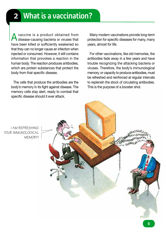A vaccine is a product obtained from disease-causing bacteria or viruses that have been killed or sufficiently weakened so that they can no longer cause an infection when injected or consumed. However, it still contains information that provokes a reaction in the human body. The reaction produces antibodies, which are protein substances that protect the body from that specific disease.

The cells that produce the antibodies are the body's memory in its fight against disease. The memory cells stay alert, ready to combat that specific disease should it ever attack.

Many modern vaccinations provide long-term protection for specific diseases for many, many years, almost for life.

For other vaccinations, like old memories, the antibodies fade away in a few years and have trouble recognizing the attacking bacteria or viruses. Therefore, the body's immunological memory, or capacity to produce antibodies, must be refreshed and reinforced at regular intervals to replenish the stock of circulating antibodies. This is the purpose of a booster shot.

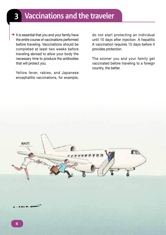# Vaccinations and the traveler

 $\rightarrow$  It is essential that you and your family have the entire course of vaccinations performed before traveling. Vaccinations should be completed at least two weeks before traveling abroad to allow your body the necessary time to produce the antibodies that will protect you.

Yellow fever, rabies, and Japanese encephalitis vaccinations, for example, do not start protecting an individual until 10 days after injection. A hepatitis A vaccination requires 15 days before it provides protection.

The sooner you and your family get vaccinated before traveling to a foreign country, the better.

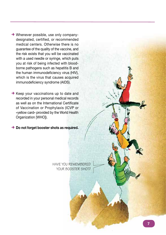- $\rightarrow$  Whenever possible, use only companydesignated, certified, or recommended medical centers. Otherwise there is no guarantee of the quality of the vaccine, and the risk exists that you will be vaccinated with a used needle or syringe, which puts you at risk of being infected with bloodborne pathogens such as hepatitis B and the human immunodeficiency virus (HIV), which is the virus that causes acquired immunodeficiency syndrome (AIDS).
- $\rightarrow$  Keep your vaccinations up to date and recorded in your personal medical records as well as on the International Certificate of Vaccination or Prophylaxis (ICVP or «yellow card» provided by the World Health Organization [WHO]).

**→ Do not forget booster shots as required.** 

have you remembered YOUR BOOSTER SHOT?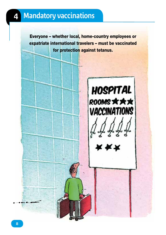Everyone – whether local, home-country employees or expatriate international travelers – must be vaccinated for protection against tetanus.

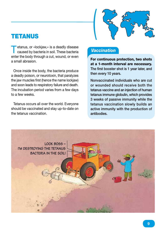

### **TETANUS**

Tetanus, or «lockjaw,» is a deadly disease<br>caused by bacteria in soil. These bacteria enter the body through a cut, wound, or even a small abrasion.

Once inside the body, the bacteria produce a deadly poison, or neurotoxin, that paralyzes the jaw muscles first (hence the name lockjaw) and soon leads to respiratory failure and death. The incubation period varies from a few days to a few weeks.

Tetanus occurs all over the world. Everyone should be vaccinated and stay up-to-date on the tetanus vaccination.

### *Vaccination*

For continuous protection, two shots at a 1-month interval are necessary. The first booster shot is 1 year later, and then every 10 years.

Nonvaccinated individuals who are cut or wounded should receive both the tetanus vaccine and an injection of human tetanus immune globulin, which provides 3 weeks of passive immunity while the tetanus vaccination slowly builds an active immunity with the production of antibodies.

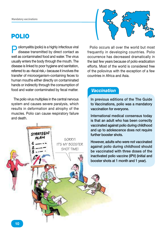### POLIO

**Poliomyelitis (polio) is a highly infectious viral disease transmitted by direct contact as** well as contaminated food and water. The virus usually enters the body through the mouth. The disease is linked to poor hygiene and sanitation, referred to as «fecal risk,» because it involves the transfer of microorganism-containing feces to human mouths either directly on contaminated hands or indirectly through the consumption of food and water contaminated by fecal matter.

The polio virus multiplies in the central nervous system and causes severe paralysis, which results in deformation and atrophy of the muscles. Polio can cause respiratory failure and death.





Polio occurs all over the world but most frequently in developing countries. Polio occurrence has decreased dramatically in the last few years because of polio eradication efforts. Most of the world is considered free of the poliovirus with the exception of a few countries in Africa and Asia.

### *Vaccination*

In previous editions of the The Guide to Vaccinations, polio was a mandatory vaccination for everyone.

International medical consensus today is that an adult who has been correctly vaccinated against polio during childhood and up to adolescence does not require further booster shots.

However, adults who were not vaccinated against polio during childhood should be vaccinated with three doses of the inactivated polio vaccine (IPV) (initial and booster shots at 1 month and 1 year).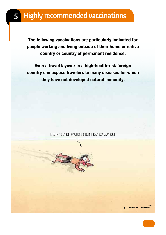# 5 Highly recommended vaccinations

The following vaccinations are particularly indicated for people working and living outside of their home or native country or country of permanent residence.

Even a travel layover in a high-health-risk foreign country can expose travelers to many diseases for which they have not developed natural immunity.

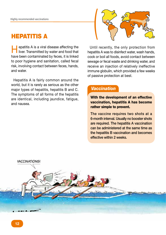### **HEPATITIS A**

Hepatitis A is a viral disease affecting the liver. Transmitted by water and food that have been contaminated by feces, it is linked to poor hygiene and sanitation, called fecal risk, involving contact between feces, hands, and water.

Hepatitis A is fairly common around the world, but it is rarely as serious as the other major types of hepatitis, hepatitis B and C. The symptoms of all forms of the hepatitis are identical, including jaundice, fatigue, and nausea.



Until recently, the only protection from hepatitis A was to disinfect water, wash hands, cook or boil all foods, avoid contact between sewage or fecal waste and drinking water, and receive an injection of relatively ineffective immune globulin, which provided a few weeks of passive protection at best.

### *Vaccination*

With the development of an effective vaccination, hepatitis A has become rather simple to prevent.

The vaccine requires two shots at a 6-month interval. Usually no booster shots are required. The hepatitis A vaccination can be administered at the same time as the hepatitis B vaccination and becomes effective within 2 weeks.

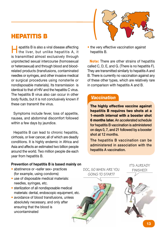

### **HEPATITIS B**

Hepatitis B is also a viral disease affecting the liver, but unlike hepatitis A, it is transmitted almost exclusively through unprotected sexual intercourse (homosexual or heterosexual) and through blood and bloodrelated products (transfusions, contaminated needles or syringes, and other invasive medical or surgical procedures using nonsterile or nondisposable materials). Its transmission is identical to that of HIV and the hepatitis C virus. The hepatitis B virus also can occur in other body fluids, but it is not conclusively known if these can transmit the virus.

Symptoms include fever, loss of appetite, nausea, and abdominal discomfort followed within a few days by jaundice.

Hepatitis B can lead to chronic hepatitis, cirrhosis, or liver cancer, all of which are deadly conditions. It is highly endemic in Africa and Asia and affects an estimated two billion people around the world. Two million people die each year from hepatitis B.

- **Prevention of hepatitis B is based mainly on**
- abstinence or «safer sex» practices (for example, using condoms)
- use of disposable medical materials: needles, syringes, etc.
- sterilization of all nondisposable medical materials: dental, endoscopic equipment, etc.
- avoidance of blood transfusions, unless absolutely necessary, and only after ensuring that the blood is uncontaminated

• the very effective vaccination against hepatitis B.

Note: There are other strains of hepatitis called C, D, E, and G. (There is no hepatitis F). They are transmitted similarly to hepatitis A and B. There is currently no vaccination against any of these other types, which are relatively rare in comparison with hepatitis A and B.

### *Vaccination*

The highly effective vaccine against hepatitis B requires two shots at a 1-month interval with a booster shot 6 months later. An accelerated schedule for hepatitis B vaccination is administered on days 0, 7, and 21 followed by a booster shot at 12 months.

The hepatitis B vaccination can be administered in association with the hepatitis A vaccination.

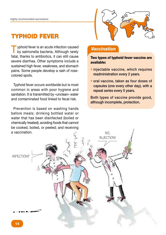

### TYPHOID FEVER

Typhoid fever is an acute infection caused<br>by salmonella bacteria. Although rarely fatal, thanks to antibiotics, it can still cause severe diarrhea. Other symptoms include a sustained high fever, weakness, and stomach pains. Some people develop a rash of rosecolored spots.

Typhoid fever occurs worldwide but is most common in areas with poor hygiene and sanitation. It is transmitted by «unclean» water and contaminated food linked to fecal risk.

Prevention is based on washing hands before meals; drinking bottled water or water that has been disinfected (boiled or chemically treated); avoiding foods that cannot be cooked, boiled, or peeled; and receiving

### *Vaccination*

Two types of typhoid fever vaccine are available:

- injectable vaccine, which requires readministration every 2 years.
- oral vaccine, taken as four doses of capsules (one every other day), with a repeat series every 5 years.

Both types of vaccine provide good, although incomplete, protection.

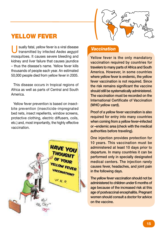

### YELLOW FEVER

Usually fatal, yellow fever is a viral disease transmitted by infected *Aedes aegypti*  mosquitoes. It causes severe bleeding and kidney and liver failure that causes jaundice – thus the disease's name. Yellow fever kills thousands of people each year. An estimated 50,000 people died from yellow fever in 2005.

This disease occurs in tropical regions of Africa as well as parts of Central and South America.

Yellow fever prevention is based on insectbite prevention (insecticide-impregnated bed nets, insect repellents, window screens, protective clothing, electric diffusers, coils, etc.) and, most importantly, the highly effective vaccination.



### *Vaccination*

Yellow fever is the only mandatory vaccination required by countries for travelers to many parts of Africa and South America. However, in some countries where yellow fever is endemic, the yellow fever vaccination is not required. Since the risk remains significant the vaccine should still be systematically administered. The vaccination must be recorded on the International Certificate of Vaccination (WHO yellow card).

Proof of a yellow fever vaccination is also required for entry into many countries when coming from a yellow fever–infected or –endemic area (check with the medical authorities before traveling).

One injection provides protection for 10 years. This vaccination must be administered at least 10 days prior to departure. In many countries it can be performed only in specially designated medical centers. The injection rarely causes fever, headaches, and joint pain in the following days.

The yellow fever vaccination should not be administered to children under 6 months of age because of the increased risk at this age of postvaccinal encephalitis. Pregnant women should consult a doctor for advice on the vaccine.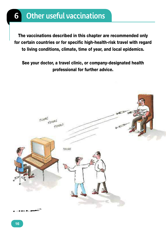# **6** Other useful vaccinations

The vaccinations described in this chapter are recommended only for certain countries or for specific high-health-risk travel with regard to living conditions, climate, time of year, and local epidemics.

See your doctor, a travel clinic, or company-designated health professional for further advice.

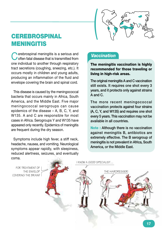

### **CEREBROSPINAL** MENINGITIS

Cerebrospinal meningitis is a serious and<br>
Coften fatal disease that is transmitted from one individual to another through respiratory tract secretions (coughing, sneezing, etc.). It occurs mostly in children and young adults, producing an inflammation of the fluid and envelope covering the brain and spinal cord.

This disease is caused by the meningococcal bacteria that occurs mainly in Africa, South America, and the Middle East. Five major meningococcal serogroups can cause epidemics of the disease – A, B, C, Y, and W135. A and C are responsible for most cases in Africa. Serogroups Y and W135 have appeared only recently. Epidemics of meningitis are frequent during the dry season.

Symptoms include high fever, a stiff neck, headache, nausea, and vomiting. Neurological symptoms appear rapidly, with sleepiness, reduced alertness, seizures, and eventually coma.

### *Vaccination*

The meningitis vaccination is highly recommended for those traveling or living in high-risk areas.

The original meningitis A and C vaccination still exists. It requires one shot every 3 years, and it protects only against strains A and C.

The more recent meningococcal vaccination protects against four strains (A, C, Y, and W135) and requires one shot every 5 years. This vaccination may not be available in all countries.

Note : Although there is no vaccination against meningitis B, antibiotics are extremely effective. The B serogroup of meningitis is not prevalent in Africa, South America, or the Middle East.

FOR TREATMENT OF the envelop covering the brain?

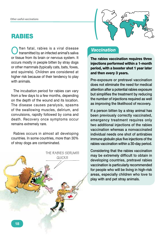### RABIES

Often fatal, rabies is a viral disease<br>Unansmitted by an infected animal's saliva or tissue from its brain or nervous system. It occurs mostly in people bitten by stray dogs or other mammals (typically cats, bats, foxes, and squirrels). Children are considered at higher risk because of their tendency to play with animals.

The incubation period for rabies can vary from a few days to a few months, depending on the depth of the wound and its location. The disease causes paralysis, spasms of the swallowing muscles, delirium, and convulsions, rapidly followed by coma and death. Recovery once symptoms occur remains extremely rare.

Rabies occurs in almost all developing countries. In some countries, more than 30% of stray dogs are contaminated.





### *Vaccination*

The rabies vaccination requires three injections performed within a 1-month period, with a booster shot 1 year later and then every 3 years.

Pre-exposure or pretravel vaccination does not eliminate the need for medical attention after a potential rabies exposure but simplifies the treatment by reducing the number of injections required as well as improving the likelihood of recovery.

If a person bitten by a stray animal has been previously correctly vaccinated, emergency treatment requires only two additional injections of the rabies vaccination whereas a nonvaccinated individual needs one shot of antirabies immune globulin plus five injections of the rabies vaccination within a 30-day period.

Considering that the rabies vaccination may be extremely difficult to obtain in developing countries, pretravel rabies vaccination is particularly recommended for people who will be living in high-risk areas, especially children who love to play with and pet stray animals.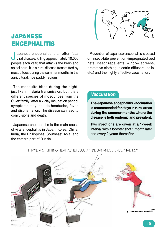

### **JAPANESE ENCEPHALITIS**

J apanese encephalitis is an often fatal viral disease, killing approximately 10,000 people each year, that attacks the brain and spinal cord. It is a rural disease transmitted by mosquitoes during the summer months in the agricultural, rice paddy regions.

The mosquito bites during the night, just like in malaria transmission, but it is a different species of mosquitoes from the *Culex* family. After a 7-day incubation period, symptoms may include headache, fever, and disorientation. The disease can lead to convulsions and death.

Japanese encephalitis is the main cause of viral encephalitis in Japan, Korea, China, India, the Philippines, Southeast Asia, and the eastern part of Russia.

Prevention of Japanese encephalitis is based on insect-bite prevention (impregnated bed nets, insect repellents, window screens, protective clothing, electric diffusers, coils, etc.) and the highly effective vaccination.

### *Vaccination*

The Japanese encephalitis vaccination is recommended for stays in rural areas during the summer months where the disease is both endemic and prevalent.

Two injections are given at a 1-week interval with a booster shot 1 month later and every 2 years thereafter.



i have a spliTTing headache! could iT be japanese encephaliTis?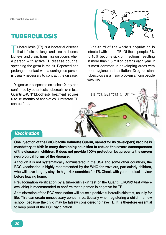### TUBERCULOSIS

Tuberculosis (TB) is a bacterial disease<br>that infects the lungs and also the bones, kidneys, and brain. Transmission occurs when a person with active TB disease coughs, spreading the germ in the air. Repeated and prolonged contact with a contagious person is usually necessary to contract the disease.

Diagnosis is suspected on a chest X-ray and confirmed by other tests (tuberculin skin test, QuantiFERON® blood test). Treatment requires 6 to 12 months of antibiotics. Untreated TB can be fatal.



One-third of the world's population is infected with latent TB. Of these people, 5% to 10% become sick or infectious, resulting in more than 1.5 million deaths each year. It is most common in developing areas with poor hygiene and sanitation. Drug-resistant tuberculosis is a major problem among people with **HIV** 

Did you get your shot?

### *Vaccination*

One injection of the BCG (bacille Calmette Guérin, named for its developers) vaccine is mandatory at birth in many developing countries to reduce the severe consequences of the disease in children. It does not provide 100% protection but prevents the severe neurological forms of the disease.

Although it is not systematically administered in the USA and some other countries, the BCG vaccination is highly recommended by the WHO for travelers, particularly children, who will have lengthy stays in high-risk countries for TB. Check with your medical adviser before leaving home.

Prevaccination verification by a tuberculin skin test or the QuantiFERON® test (where available) is recommended to confirm that a person is negative for TB.

Administration of the BCG vaccination will cause a positive tuberculin skin test, usually for life. This can create unnecessary concern, particularly when registering a child in a new school, because the child may be falsely considered to have TB. It is therefore essential to keep proof of the BCG vaccination.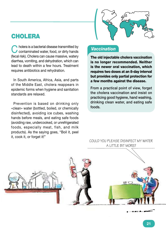

### **CHOLERA**

Cholera is a bacterial disease transmitted by<br>Contaminated water, food, or dirty hands (fecal risk). Cholera can cause massive, watery diarrhea, vomiting, and dehydration, which can lead to death within a few hours. Treatment requires antibiotics and rehydration.

In South America, Africa, Asia, and parts of the Middle East, cholera reappears in epidemic forms when hygiene and sanitation standards are relaxed.

Prevention is based on drinking only «clean» water (bottled, boiled, or chemically disinfected), avoiding ice cubes, washing hands before meals, and eating safe foods (avoiding raw, undercooked, or unrefrigerated foods, especially meat, fish, and milk products). As the saying goes, "Boil it, peel it, cook it, or forget it!"

### *Vaccination*

The old injectable cholera vaccination is no longer recommended. Neither is the newer oral vaccination, which requires two doses at an 8-day interval but provides only partial protection for a few months against the disease.

From a practical point of view, forget the cholera vaccination and insist on practicing good hygiene, hand washing, drinking clean water, and eating safe foods.

### could you please disinfecT my waTer a liTTle biT more?

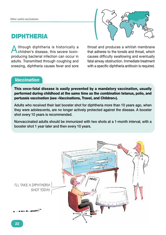### **DIPHTHERIA**

Although diphtheria is historically a children's disease, this severe toxinproducing bacterial infection can occur in adults. Transmitted through coughing and sneezing, diphtheria causes fever and sore



throat and produces a whitish membrane that adheres to the tonsils and throat, which causes difficulty swallowing and eventually fatal airway obstruction. Immediate treatment with a specific diphtheria antitoxin is required.

### *Vaccination*

This once-fatal disease is easily prevented by a mandatory vaccination, usually performed during childhood at the same time as the combination tetanus, polio, and pertussis vaccination (see «Vaccinations, Travel, and Children»).

Adults who received their last booster shot for diphtheria more than 10 years ago, when they were adolescents, are no longer actively protected against the disease. A booster shot every 10 years is recommended.

Nonvaccinated adults should be immunized with two shots at a 1-month interval, with a booster shot 1 year later and then every 10 years.

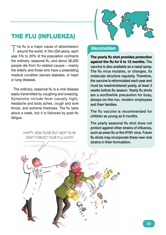

### THE FLU (INFLUENZA)

The flu is a major cause of absenteeism<br>around the world. In the USA alone, each year 5% to 20% of the population contracts the ordinary, seasonal flu, and about 36,000 people die from flu-related causes – mainly the elderly and those who have a preexisting medical condition (severe diabetes, or heart or lung disease).

The ordinary, seasonal flu is a viral disease easily transmitted by coughing and sneezing. Symptoms include fever (usually high), headache and body aches, cough and sore throat, and extreme tiredness. The flu lasts about a week, but it is followed by post-flu fatigue.

> Happy New Year! But next year don't forget your flu shot!

### *Vaccination*

The yearly flu shot provides protection against the flu for 6 to 12 months. The vaccine is also available as a nasal spray. The flu virus mutates, or changes, its molecular structure regularly. Therefore, the vaccine is reformulated each year and must be readministered yearly, at least 2 weeks before flu season. Yearly flu shots are a worthwhile precaution for busy, always-on-the-run, modern employees and their families.

The flu vaccine is recommended for children as young as 6 months.

The yearly seasonal flu shot does not protect against other strains of influenza, such as avian flu or the H1N1 virus. Future flu shots may incorporate these new viral strains in their formulation.

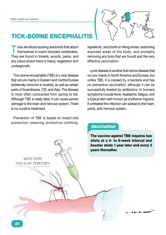

### TICK-BORNE ENCEPHALITIS

Ticks are blood-sucking arachnids that attach<br>themselves to warm-blooded vertebrates. They are found in forests, woods, parks, and any place where there is heavy vegetation and undergrowth.

Tick-borne encephalitis (TBE) is a viral disease that occurs mainly in Eastern and Central Europe (extremely common in Austria), as well as certain parts of Scandinavia, CIS, and Asia. The disease is most often contracted from spring to fall. Although TBE is rarely fatal, it can cause severe damage to the brain and nervous system. There is no curative treatment.

Prevention of TBE is based on insect bite protection (wearing protective clothing, repellents, and boots or hiking shoes; examining exposed areas of the body; and promptly removing any ticks that are found) and the very effective vaccination.

Lyme disease is another tick-borne disease that occurs mainly in North America and Europe, but unlike TBE, it is caused by a bacteria and has no preventive vaccination, although it can be successfully treated by antibiotics. In humans symptoms include fever, headache, fatigue, and a typical skin rash known as erythema migrans. If untreated the infection can spread to the heart, joints, and nervous system.

### *Vaccination*

The vaccine against TBE requires two shots at a 4- to 8-week interval and booster shots 1 year later and every 3 years thereafter.

MOVF OVFR! This is my territory!

**24**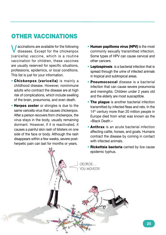### OTHER VACCINATIONS

Vaccinations are available for the following diseases. Except for the chickenpox (varicella) vaccine, which is a routine vaccination for children, these vaccines are usually reserved for specific situations, professions, epidemics, or local conditions. This list is just for your information.

- Chickenpox (varicella) is mainly a childhood disease. However, nonimmune adults who contract the disease are at high risk of complications, which include swelling of the brain, pneumonia, and even death.
- Herpes zoster or shingles is due to the same varicella virus that causes chickenpox. After a person recovers from chickenpox, the virus stays in the body, usually remaining dormant. However, if it is reactivated, it causes a painful skin rash of blisters on one side of the face or body. Although the rash disappears within a few weeks, severe postherpetic pain can last for months or years.
- Human papilloma virus (HPV) is the most commonly sexually transmitted infection. Some types of HPV can cause cervical and other cancers.
- Leptospirosis is a bacterial infection that is spread through the urine of infected animals in tropical and subtropical areas.
- Pneumococcal disease is a bacterial infection that can cause severe pneumonia and meningitis. Children under 2 years old and the elderly are most susceptible.
- The plague is another bacterial infection transmitted by infected fleas and rats. In the 14<sup>th</sup> century more than 20 million people in Europe died from what was known as the «Black Death.»
- Anthrax is an acute bacterial infection affecting cattle, horses, and goats. Humans contract the disease by coming in contact with infected animals.
- **Rickettsia bacteria** carried by lice cause epidemic typhus.

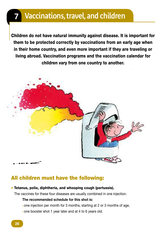# **Vaccinations, travel, and children**

Children do not have natural immunity against disease. It is important for them to be protected correctly by vaccinations from an early age when in their home country, and even more important if they are traveling or living abroad. Vaccination programs and the vaccination calendar for children vary from one country to another.



### All children must have the following:

#### • Tetanus, polio, diphtheria, and whooping cough (pertussis).

The vaccines for these four diseases are usually combined in one injection.

#### **The recommended schedule for this shot is:**

- one injection per month for 3 months, starting at 2 or 3 months of age,
- one booster shot 1 year later and at 4 to 6 years old.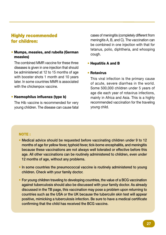### Highly recommended for children:

#### • Mumps, measles, and rubella (German measles)

The combined MMR vaccine for these three diseases is given in one injection that should be administered at 12 to 15 months of age with booster shots 1 month and 10 years later. In some countries MMR is associated with the chickenpox vaccine.

#### • Haemophilus influenza (type b)

The Hib vaccine is recommended for very young children. The disease can cause fatal cases of meningitis (completely different from meningitis A, B, and C). The vaccination can be combined in one injection with that for tetanus, polio, diphtheria, and whooping cough.

#### • Hepatitis A and B

#### • Rotavirus

This viral infection is the primary cause of acute, severe diarrhea in the world. Some 500,000 children under 5 years of age die each year of rotavirus infections, mainly in Africa and Asia. This is a highly recommended vaccination for the traveling young child.

#### NOTE :

- Medical advice should be requested before vaccinating children under 9 to 12 months of age for yellow fever, typhoid fever, tick-borne encephalitis, and meningitis because these vaccinations are not always well tolerated or effective before this age. All other vaccinations can be routinely administered to children, even under 12 months of age, without any problems.
- In some countries the pneumococcal vaccine is routinely administered to young children. Check with your family doctor.
- For young children traveling to developing countries, the value of a BCG vaccination against tuberculosis should also be discussed with your family doctor. As already discussed in the TB page, this vaccination may pose a problem upon returning to countries such as the USA or the UK because the tuberculin skin test will appear positive, mimicking a tuberculosis infection. Be sure to have a medical certificate confirming that the child has received the BCG vaccine.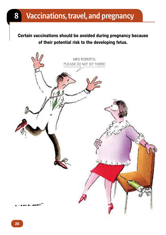# 8 Vaccinations, travel, and pregnancy

Certain vaccinations should be avoided during pregnancy because of their potential risk to the developing fetus.

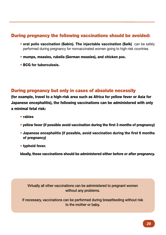### During pregnancy the following vaccinations should be avoided:

- oral polio vaccination (Sabin). The injectable vaccination (Salk) can be safely performed during pregnancy for nonvaccinated women going to high-risk countries.
- mumps, measles, rubella (German measles), and chicken pox.
- BCG for tuberculosis.

### During pregnancy but only in cases of absolute necessity

(for example, travel to a high-risk area such as Africa for yellow fever or Asia for Japanese encephalitis), the following vaccinations can be administered with only a minimal fetal risk:

- rabies
- yellow fever (if possible avoid vaccination during the first 3 months of pregnancy)
- Japanese encephalitis (if possible, avoid vaccination during the first 6 months of pregnancy)
- typhoid fever.

Ideally, these vaccinations should be administered either before or after pregnancy.

Virtually all other vaccinations can be administered to pregnant women without any problems.

If necessary, vaccinations can be performed during breastfeeding without risk to the mother or baby.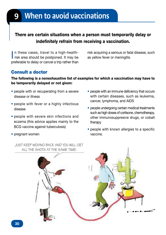# When to avoid vaccinations

### There are certain situations when a person must temporarily delay or indefinitely refrain from receiving a vaccination.

In these cases, travel to a high-health-<br>risk area should be postponed. It may be n these cases, travel to a high-healthpreferable to delay or cancel a trip rather than

risk acquiring a serious or fatal disease, such as yellow fever or meningitis.

### Consult a doctor

• pregnant women

#### The following is a nonexhaustive list of examples for which a vaccination may have to be temporarily delayed or not given:

- people with or recuperating from a severe disease or illness
- people with fever or a highly infectious disease
- people with severe skin infections and eczema (this advice applies mainly to the BCG vaccine against tuberculosis)
- people with an immune deficiency that occurs with certain diseases, such as leukemia, cancer, lymphoma, and AIDS
- people undergoing certain medical treatments such as high doses of cortisone, chemotherapy, other immunosuppresive drugs, or cobalt therapy
- people with known allergies to a specific vaccine.

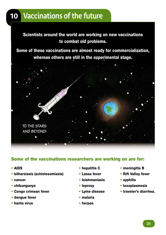# 10 Vaccinations of the future

Scientists around the world are working on new vaccinations to combat old problems.

Some of these vaccinations are almost ready for commercialization, whereas others are still in the experimental stage.



### Some of the vaccinations researchers are working on are for:

- AIDS
- bilharziasis (schistosomiasis)
- cancer
- chikungunya
- Congo crimean fever
- dengue fever
- hanta virus
- hepatitis C
- Lassa fever
- leishmaniasis
- leprosy
- Lyme disease
- malaria
- herpes
- meningitis B
- Rift Valley fever
- syphilis
- toxoplasmosis
- traveler's diarrhea.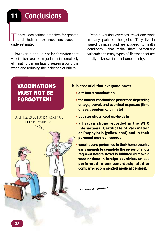Today, vaccinations are taken for granted<br>and their importance has become underestimated.

However, it should not be forgotten that vaccinations are the major factor in completely eliminating certain fatal diseases around the world and reducing the incidence of others.

People working overseas travel and work in many parts of the globe . They live in varied climates and are exposed to health conditions that make them particularly vulnerable to many types of illnesses that are totally unknown in their home country.

### VACCINATIONS MUST NOT BE FORGOTTEN!

a liTTle vaccinaTion cockTail before your Trip.

#### It is essential that everyone have:

- a tetanus vaccination
- the correct vaccinations performed depending on age, travel, and eventual exposure (time of year, epidemic, climate)
- booster shots kept up-to-date
- all vaccinations recorded in the WHO International Certificate of Vaccination or Prophylaxis (yellow card) and in their personal medical records
- vaccinations performed in their home country early enough to complete the series of shots required before travel is initiated (but avoid vaccinations in foreign countries, unless performed in company-designated or company-recommended medical centers).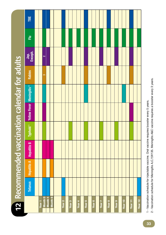|                                                       | FBE                                        |                   |                         |                    |         |                   |                   |                   |                   |                   |                   |                   |                   |         |         |                    |
|-------------------------------------------------------|--------------------------------------------|-------------------|-------------------------|--------------------|---------|-------------------|-------------------|-------------------|-------------------|-------------------|-------------------|-------------------|-------------------|---------|---------|--------------------|
|                                                       | 룬                                          |                   |                         |                    |         |                   |                   |                   |                   |                   |                   |                   |                   |         |         |                    |
|                                                       | Jap.<br>Enceph.                            |                   | $\overline{\mathbf{N}}$ |                    |         |                   |                   |                   |                   |                   |                   |                   |                   |         |         |                    |
|                                                       | Rabies                                     |                   | ø                       |                    |         |                   |                   |                   |                   |                   |                   |                   |                   |         |         |                    |
|                                                       |                                            |                   |                         |                    |         |                   |                   |                   |                   |                   |                   |                   |                   |         |         |                    |
|                                                       | <b>Yellow Fever Meningitis<sup>2</sup></b> |                   |                         |                    |         |                   |                   |                   |                   |                   |                   |                   |                   |         |         |                    |
|                                                       | Typhoid <sup>1</sup>                       |                   |                         |                    |         |                   |                   |                   |                   |                   |                   |                   |                   |         |         |                    |
| <b>12</b> Recommended vaccination calendar for adults | <b>Hepatitis B</b>                         |                   |                         |                    |         |                   |                   |                   |                   |                   |                   |                   |                   |         |         |                    |
|                                                       | <b>Hepatitis A</b>                         |                   |                         |                    |         |                   |                   |                   |                   |                   |                   |                   |                   |         |         |                    |
|                                                       | <b>Tetanus</b>                             |                   |                         |                    |         |                   |                   |                   |                   |                   |                   |                   |                   |         |         |                    |
|                                                       |                                            | Year <sub>1</sub> |                         | Month 0<br>Month 1 | Month 6 | Year <sub>2</sub> | Year <sub>3</sub> | Year <sub>4</sub> | Year <sub>5</sub> | Year <sub>6</sub> | Year <sub>7</sub> | Year <sub>8</sub> | Year <sub>9</sub> | Year 10 | Year 11 | Year <sub>12</sub> |

1 - Vaccination schedule for injectable vaccine. Oral vaccine requires booster every 5 years. 1 - Vaccination schedule for injectable vaccine. Oral vaccine requires booster every 5 years.

<sup>2 -</sup> Vaccination schedule for Meningitis A,C,Y,W135. Meningitis A&C vaccine requires a booster every 3 years. 2 - Vaccination schedule for Meningitis A,C,Y,W135. Meningitis A&C vaccine requires a booster every 3 years.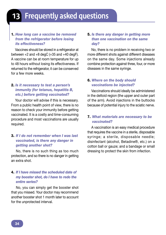# **Frequently asked questions**

### 1. *How long can a vaccine be removed from the refrigerator before losing its effectiveness?*

Vaccines should be stored in a refrigerator at between  $+2$  and  $+8$  degC ( $+35$  and  $+40$  degF). A vaccine can be at room temperature for up to 48 hours without losing its effectiveness. If returned to the refrigerator, it can be conserved for a few more weeks.

#### 2. *Is it necessary to test a person's immunity (for tetanus, hepatitis B, etc.) before getting vaccinated?*

Your doctor will advise if this is necessary. From a public health point of view, there is no reason to check your immunity before getting vaccinated. It is a costly and time-consuming procedure and most vaccinations are usually required.

#### 3. *If I do not remember when I was last vaccinated, is there any danger in getting another shot?*

No, there is no such thing as too much protection, and so there is no danger in getting an extra shot.

#### 4. *If I have missed the scheduled date of my booster shot, do I have to redo the entire series?*

No, you can simply get the booster shot that you missed. Your doctor may recommend another booster shot 1 month later to account for the unprotected interval.

#### 5. *Is there any danger in getting more than one vaccination on the same day?*

No, there is no problem in receiving two or more different shots against different diseases on the same day. Some injections already combine protection against three, four, or more diseases in the same syringe.

#### 6. *Where on the body should vaccinations be injected?*

Vaccinations should ideally be administered in the deltoid region (the upper and outer part of the arm). Avoid injections in the buttocks because of potential injury to the sciatic nerve.

#### 7. *What materials are necessary to be vaccinated?*

A vaccination is an easy medical procedure that requires the vaccine in a sterile, disposable syringe; a sterile, disposable needle; disinfectant (alcohol, Betadine®, etc.) on a cotton ball or gauze; and a bandage or small dressing to protect the skin from infection.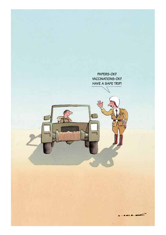